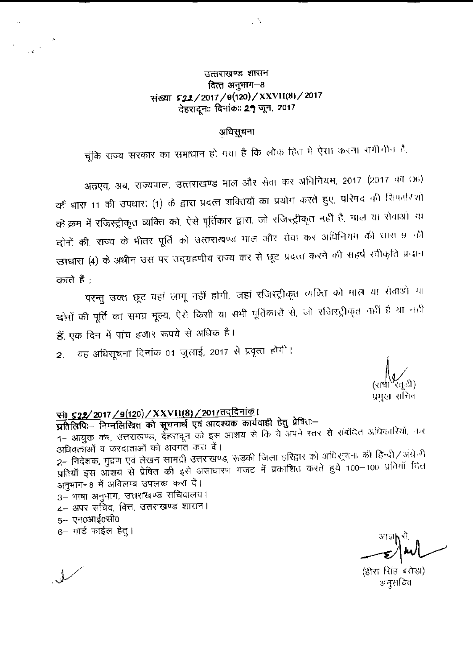### उत्तराखण्ड शासन वित्त अनुभाग-8 संख्या \$22/2017/9(120)/XXVII(8)/2017 देहरादूनः दिनांकः 27 जून, 2017

 $\sim$   $\Delta$ 

#### अधिसूचना

चूंकि राज्य सरकार का समाधान हो गया है कि लोक हित में ऐसा करना रागीतीन है.

अतएव, अब, राज्यपाल, उत्तराखण्ड माल और सेवा कर अधिनियम, 2017 (2017 का 06) की धारा 11 की उपधारा (1) के द्वारा प्रदत्त शक्तियों का प्रयोग करते हुए, परिषद की सिफारिशी को क्रम में रजिस्ट्रीकृत व्यक्ति को, ऐसे पूर्तिकार द्वारा, जो रजिस्ट्रीकृत नहीं है, माल या सेवाओं या दोनों की, राज्य के भीतर पूर्ति को उत्तराखण्ड माल और सेवा कर अधिनियम की धारा 9 की उपधारा (4) के अधीन उस पर उद्ग्रहणीय राज्य कर से छूट प्रदत्ता करने की सहर्ष रवीकृति प्रदान करते हैं :

परन्तु उक्त छूट वहां लागू नहीं होगी, जहां रजिस्ट्रीकृत व्यक्ति को माल या सेवाओं या दोनों की पूर्ति का समग्र मूल्य, ऐसे किसी या सभी पूर्तिकारों से, जो रजिरद्रीकृत नहीं है या नही हैं, एक दिन में पांच हजार रूपये से अधिक है।

यह अधिसूचना दिनांक 01 जुलाई, 2017 से प्रवृत्त होगी।  $2<sup>1</sup>$ 

प्रमुख सचिव

# <u>र्स्ग) ऽ२2/2017 / 9(120) / XXVII(8) / 2017तददिनांक</u>।

प्रतिलिपिः- निम्नलिखित को सूचनार्थ एवं आवश्यक कार्यवाही हेतु प्रेषितः-1- आयुक्त कर, उत्तराखण्ड, देहरादून को इस आशय से कि वे अपने रतर से संबंधित अधिकारियों, कर अधिवक्ताओं व करदाताओं को अवगत करा दें। 2– निदेशक, मुद्रण एवं लेखन सामग्री उत्तराखण्ड, रूडकी जिला हरिद्वार को अधिराूचना की हिन्दी/अंग्रेजी प्रतियाँ इस ऑशय से प्रेषित की इसे असाधारण गजट में प्रकाशित करते हुये 100-100 प्रतियों नित अनुभाग-8 में अविलम्ब उपलब्ध करा दें। 3- भाषा अनुभाग, उत्तराखण्ड सचिवालय। 4– अपर सचिव, वित्त, उत्तराखण्ड शासन।  $5-$  एन $0$ आई $0$ सी $0$ 6– गार्ड फाईल हेतु।

(हीरा सिंह बरोड़ा) अनुसचिव